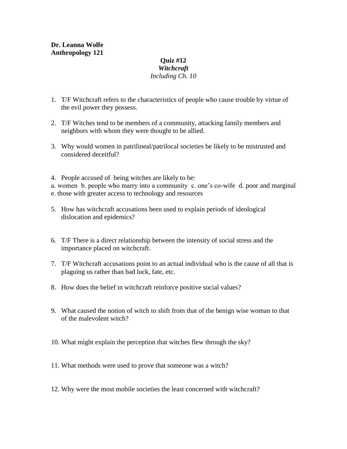## **Quiz #12** *Witchcraft Including Ch. 10*

- 1. T/F Witchcraft refers to the characteristics of people who cause trouble by virtue of the evil power they possess.
- 2. T/F Witches tend to be members of a community, attacking family members and neighbors with whom they were thought to be allied.
- 3. Why would women in patrilineal/patrilocal societies be likely to be mistrusted and considered deceitful?
- 4. People accused of being witches are likely to be:

a. women b. people who marry into a community c. one's co-wife d. poor and marginal e. those with greater access to technology and resources

- 5. How has witchcraft accusations been used to explain periods of ideological dislocation and epidemics?
- 6. T/F There is a direct relationship between the intensity of social stress and the importance placed on witchcraft.
- 7. T/F Witchcraft accusations point to an actual individual who is the cause of all that is plaguing us rather than bad luck, fate, etc.
- 8. How does the belief in witchcraft reinforce positive social values?
- 9. What caused the notion of witch to shift from that of the benign wise woman to that of the malevolent witch?
- 10. What might explain the perception that witches flew through the sky?
- 11. What methods were used to prove that someone was a witch?
- 12. Why were the most mobile societies the least concerned with witchcraft?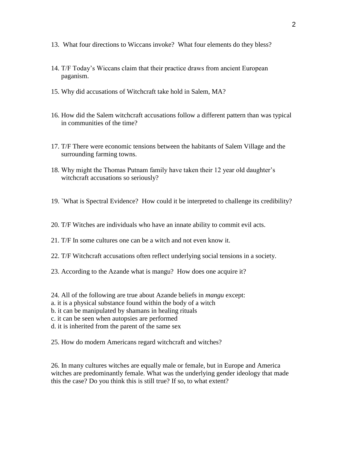- 13. What four directions to Wiccans invoke? What four elements do they bless?
- 14. T/F Today's Wiccans claim that their practice draws from ancient European paganism.
- 15. Why did accusations of Witchcraft take hold in Salem, MA?
- 16. How did the Salem witchcraft accusations follow a different pattern than was typical in communities of the time?
- 17. T/F There were economic tensions between the habitants of Salem Village and the surrounding farming towns.
- 18. Why might the Thomas Putnam family have taken their 12 year old daughter's witchcraft accusations so seriously?
- 19. `What is Spectral Evidence? How could it be interpreted to challenge its credibility?
- 20. T/F Witches are individuals who have an innate ability to commit evil acts.
- 21. T/F In some cultures one can be a witch and not even know it.
- 22. T/F Witchcraft accusations often reflect underlying social tensions in a society.
- 23. According to the Azande what is mangu? How does one acquire it?
- 24. All of the following are true about Azande beliefs in *mangu* except:
- a. it is a physical substance found within the body of a witch
- b. it can be manipulated by shamans in healing rituals
- c. it can be seen when autopsies are performed
- d. it is inherited from the parent of the same sex
- 25. How do modern Americans regard witchcraft and witches?

26. In many cultures witches are equally male or female, but in Europe and America witches are predominantly female. What was the underlying gender ideology that made this the case? Do you think this is still true? If so, to what extent?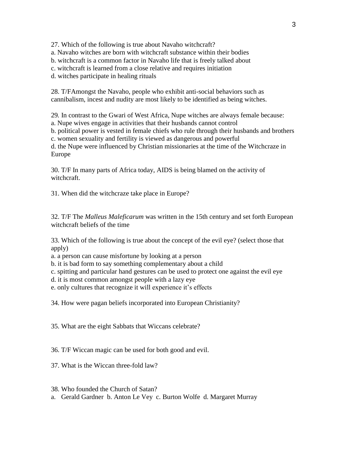27. Which of the following is true about Navaho witchcraft? a. Navaho witches are born with witchcraft substance within their bodies b. witchcraft is a common factor in Navaho life that is freely talked about c. witchcraft is learned from a close relative and requires initiation d. witches participate in healing rituals

28. T/FAmongst the Navaho, people who exhibit anti-social behaviors such as cannibalism, incest and nudity are most likely to be identified as being witches.

29*.* In contrast to the Gwari of West Africa, Nupe witches are always female because: a. Nupe wives engage in activities that their husbands cannot control b. political power is vested in female chiefs who rule through their husbands and brothers c. women sexuality and fertility is viewed as dangerous and powerful d. the Nupe were influenced by Christian missionaries at the time of the Witchcraze in Europe

30. T/F In many parts of Africa today, AIDS is being blamed on the activity of witchcraft.

31. When did the witchcraze take place in Europe?

32. T/F The *Malleus Maleficarum* was written in the 15th century and set forth European witchcraft beliefs of the time

33. Which of the following is true about the concept of the evil eye? (select those that apply)

a. a person can cause misfortune by looking at a person

b. it is bad form to say something complementary about a child

c. spitting and particular hand gestures can be used to protect one against the evil eye

d. it is most common amongst people with a lazy eye

e. only cultures that recognize it will experience it's effects

34. How were pagan beliefs incorporated into European Christianity?

35. What are the eight Sabbats that Wiccans celebrate?

36. T/F Wiccan magic can be used for both good and evil.

37. What is the Wiccan three-fold law?

38. Who founded the Church of Satan?

a. Gerald Gardner b. Anton Le Vey c. Burton Wolfe d. Margaret Murray